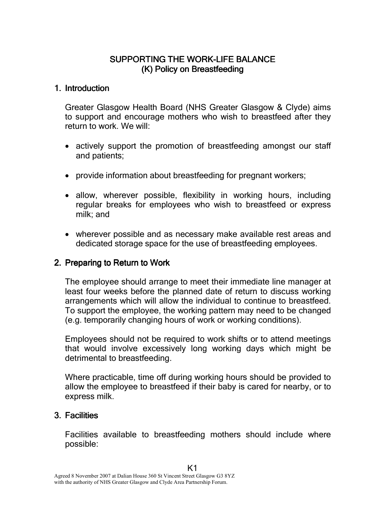# SUPPORTING THE WORK-LIFE BALANCE (K) Policy on Breastfeeding

# 1. Introduction

Greater Glasgow Health Board (NHS Greater Glasgow & Clyde) aims to support and encourage mothers who wish to breastfeed after they return to work. We will:

- actively support the promotion of breastfeeding amongst our staff and patients;
- provide information about breastfeeding for pregnant workers;
- allow, wherever possible, flexibility in working hours, including regular breaks for employees who wish to breastfeed or express milk; and
- wherever possible and as necessary make available rest areas and dedicated storage space for the use of breastfeeding employees.

# 2. Preparing to Return to Work

The employee should arrange to meet their immediate line manager at least four weeks before the planned date of return to discuss working arrangements which will allow the individual to continue to breastfeed. To support the employee, the working pattern may need to be changed (e.g. temporarily changing hours of work or working conditions).

Employees should not be required to work shifts or to attend meetings that would involve excessively long working days which might be detrimental to breastfeeding.

Where practicable, time off during working hours should be provided to allow the employee to breastfeed if their baby is cared for nearby, or to express milk.

# 3. Facilities

Facilities available to breastfeeding mothers should include where possible:

K1